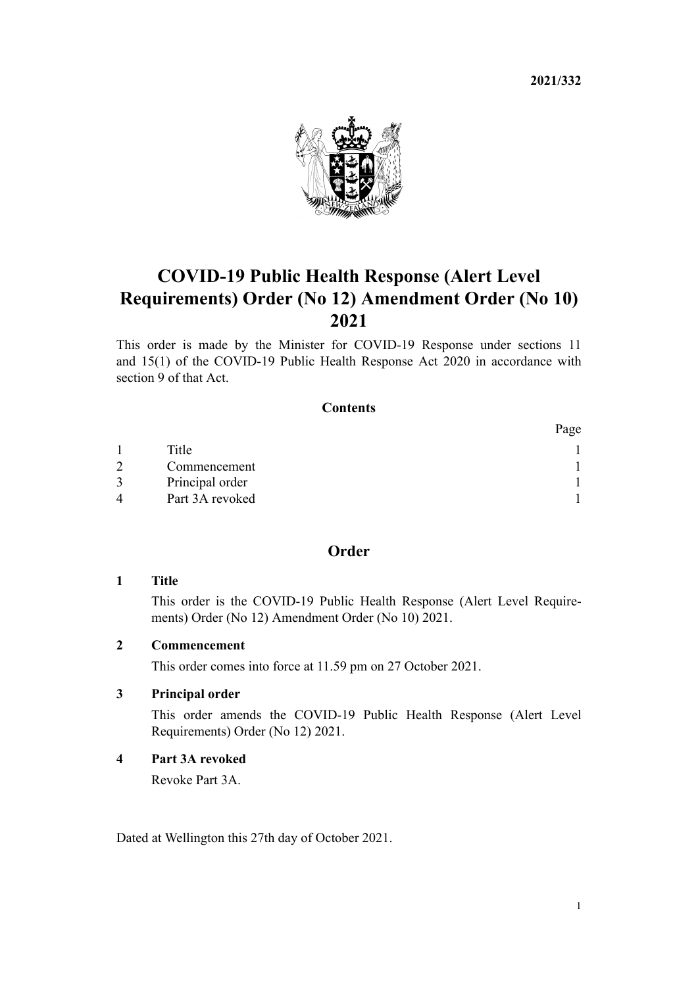**2021/332**



# <span id="page-0-0"></span>**COVID-19 Public Health Response (Alert Level Requirements) Order (No 12) Amendment Order (No 10) 2021**

This order is made by the Minister for COVID-19 Response under [sections 11](http://legislation.govt.nz/pdflink.aspx?id=LMS344177) and [15\(1\)](http://legislation.govt.nz/pdflink.aspx?id=LMS344183) of the [COVID-19 Public Health Response Act 2020](http://legislation.govt.nz/pdflink.aspx?id=LMS344121) in accordance with [section 9](http://legislation.govt.nz/pdflink.aspx?id=LMS344175) of that Act.

# **Contents**

|   |                 | Page |
|---|-----------------|------|
|   | Title           |      |
|   | Commencement    |      |
|   | Principal order |      |
| 4 | Part 3A revoked |      |

# **Order**

## **1 Title**

This order is the COVID-19 Public Health Response (Alert Level Require‐ ments) Order (No 12) Amendment Order (No 10) 2021.

#### **2 Commencement**

This order comes into force at 11.59 pm on 27 October 2021.

#### **3 Principal order**

This order amends the [COVID-19 Public Health Response \(Alert Level](http://legislation.govt.nz/pdflink.aspx?id=LMS549702) [Requirements\) Order \(No 12\) 2021](http://legislation.govt.nz/pdflink.aspx?id=LMS549702).

#### **4 Part 3A revoked**

Revoke [Part 3A.](http://legislation.govt.nz/pdflink.aspx?id=LMS563993)

Dated at Wellington this 27th day of October 2021.